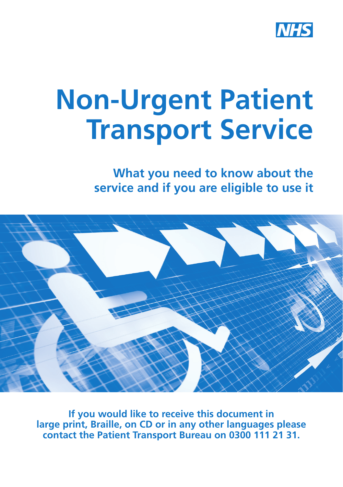

**What you need to know about the service and if you are eligible to use it**



**If you would like to receive this document in large print, Braille, on CD or in any other languages please contact the Patient Transport Bureau on 0300 111 21 31.**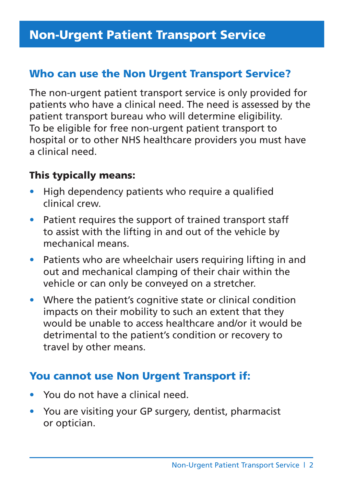# Who can use the Non Urgent Transport Service?

The non-urgent patient transport service is only provided for patients who have a clinical need. The need is assessed by the patient transport bureau who will determine eligibility. To be eligible for free non-urgent patient transport to hospital or to other NHS healthcare providers you must have a clinical need.

# This typically means:

- High dependency patients who require a qualified clinical crew.
- Patient requires the support of trained transport staff to assist with the lifting in and out of the vehicle by mechanical means.
- Patients who are wheelchair users requiring lifting in and out and mechanical clamping of their chair within the vehicle or can only be conveyed on a stretcher.
- Where the patient's cognitive state or clinical condition impacts on their mobility to such an extent that they would be unable to access healthcare and/or it would be detrimental to the patient's condition or recovery to travel by other means.

# You cannot use Non Urgent Transport if:

- You do not have a clinical need.
- You are visiting your GP surgery, dentist, pharmacist or optician.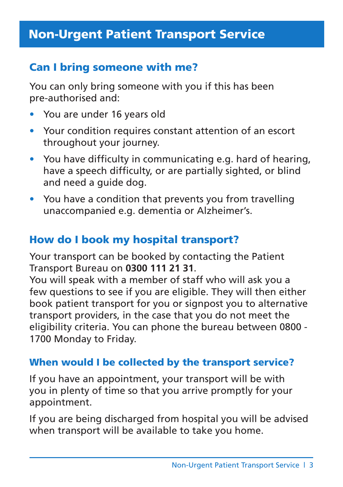# Can I bring someone with me?

You can only bring someone with you if this has been pre-authorised and:

- You are under 16 years old
- Your condition requires constant attention of an escort throughout your journey.
- You have difficulty in communicating e.g. hard of hearing, have a speech difficulty, or are partially sighted, or blind and need a guide dog.
- You have a condition that prevents you from travelling unaccompanied e.g. dementia or Alzheimer's.

# How do I book my hospital transport?

Your transport can be booked by contacting the Patient Transport Bureau on **0300 111 21 31**.

You will speak with a member of staff who will ask you a few questions to see if you are eligible. They will then either book patient transport for you or signpost you to alternative transport providers, in the case that you do not meet the eligibility criteria. You can phone the bureau between 0800 - 1700 Monday to Friday.

## When would I be collected by the transport service?

If you have an appointment, your transport will be with you in plenty of time so that you arrive promptly for your appointment.

If you are being discharged from hospital you will be advised when transport will be available to take you home.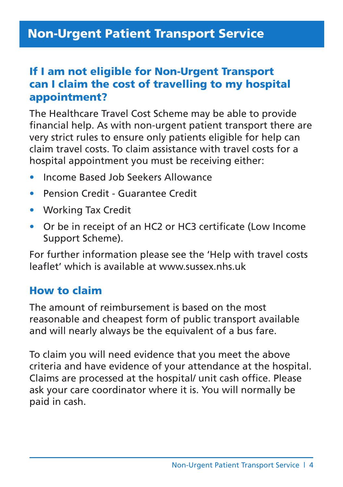# If I am not eligible for Non-Urgent Transport can I claim the cost of travelling to my hospital appointment?

The Healthcare Travel Cost Scheme may be able to provide financial help. As with non-urgent patient transport there are very strict rules to ensure only patients eligible for help can claim travel costs. To claim assistance with travel costs for a hospital appointment you must be receiving either:

- Income Based Job Seekers Allowance
- Pension Credit Guarantee Credit
- Working Tax Credit
- Or be in receipt of an HC2 or HC3 certificate (Low Income Support Scheme).

For further information please see the 'Help with travel costs leaflet' which is available at www.sussex.nhs.uk

## How to claim

The amount of reimbursement is based on the most reasonable and cheapest form of public transport available and will nearly always be the equivalent of a bus fare.

To claim you will need evidence that you meet the above criteria and have evidence of your attendance at the hospital. Claims are processed at the hospital/ unit cash office. Please ask your care coordinator where it is. You will normally be paid in cash.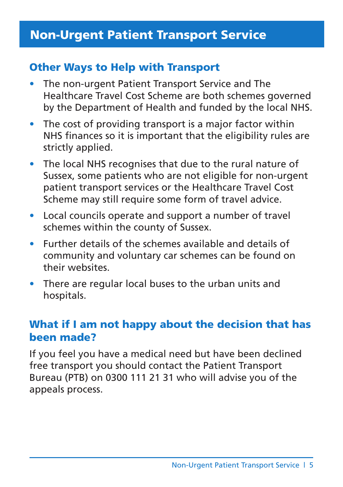# Other Ways to Help with Transport

- The non-urgent Patient Transport Service and The Healthcare Travel Cost Scheme are both schemes governed by the Department of Health and funded by the local NHS.
- The cost of providing transport is a major factor within NHS finances so it is important that the eligibility rules are strictly applied.
- The local NHS recognises that due to the rural nature of Sussex, some patients who are not eligible for non-urgent patient transport services or the Healthcare Travel Cost Scheme may still require some form of travel advice.
- Local councils operate and support a number of travel schemes within the county of Sussex.
- Further details of the schemes available and details of community and voluntary car schemes can be found on their websites.
- There are regular local buses to the urban units and hospitals.

# What if I am not happy about the decision that has been made?

If you feel you have a medical need but have been declined free transport you should contact the Patient Transport Bureau (PTB) on 0300 111 21 31 who will advise you of the appeals process.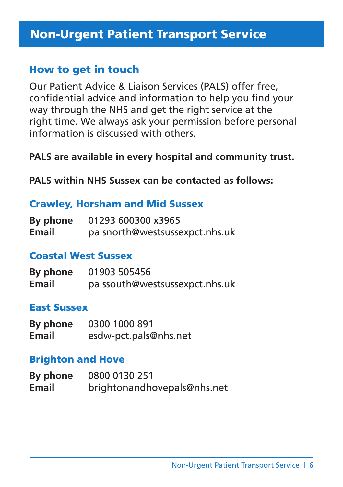## How to get in touch

Our Patient Advice & Liaison Services (PALS) offer free, confidential advice and information to help you find your way through the NHS and get the right service at the right time. We always ask your permission before personal information is discussed with others.

### **PALS are available in every hospital and community trust.**

**PALS within NHS Sussex can be contacted as follows:**

#### Crawley, Horsham and Mid Sussex

| By phone     | 01293 600300 x3965             |
|--------------|--------------------------------|
| <b>Email</b> | palsnorth@westsussexpct.nhs.uk |

#### Coastal West Sussex

| By phone | 01903 505456                   |
|----------|--------------------------------|
| Email    | palssouth@westsussexpct.nhs.uk |

#### East Sussex

| By phone | 0300 1000 891         |
|----------|-----------------------|
| Email    | esdw-pct.pals@nhs.net |

#### Brighton and Hove

| By phone     | 0800 0130 251               |
|--------------|-----------------------------|
| <b>Email</b> | brightonandhovepals@nhs.net |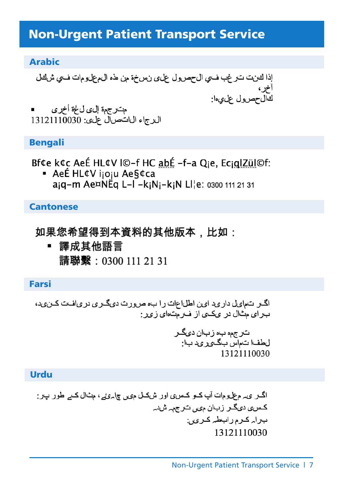#### Arabic

مت رجمة إلىي ل¢ة أخرى ال رجاء ال ان ص ال على: 13121110030

#### Bengali

Bf¢e k¢c AeÉ HL¢V I©-f HC abÉ -f-a Oie, EcialZül©f:

■ AeÉ HL¢V ijoju Ae§¢ca ajq-m Ae¤NEq L-I -kjNj-kjN LI¦e: 0300 111 21 31

#### **Cantonese**

## 如果您希望得到本資料的其他版本,比如:

■ 譯成其他語言 請聯繫: 0300 111 21 31

#### Farsi

اگیر انتداویل دار وید اوپن اطل اعلت را ب، ص و رت دویگیر و در ویافت کین وید، ب رای مثال در یکی از ف رمت ای زیر:

ترجمه به زبان ديگر ل طف ا ت اس بگ ی رید ب ا: 13121110030

#### Urdu

اگــر ي م علومات آب كــو كــس، اور شكــل مى جامهي ع مثال كــم طور بــر: کس *ی دی*گیر زبان میں ترجمہ شدہ برار كرم رابطه كرى. 13121110030